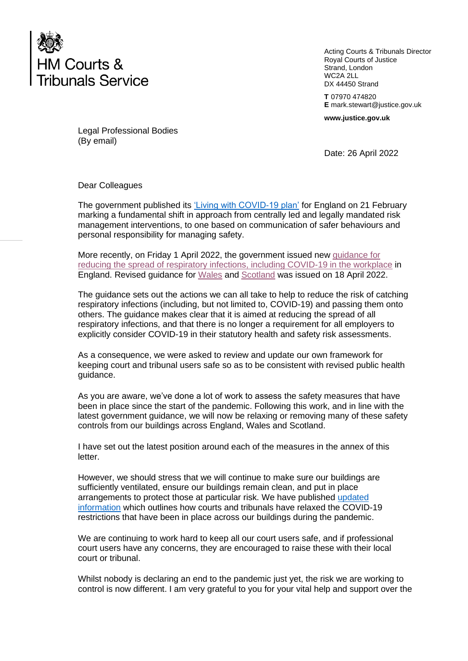

Acting Courts & Tribunals Director Royal Courts of Justice Strand, London WC2A 2LL DX 44450 Strand

**T** 07970 474820 **E** mark.stewart@justice.gov.uk

**www.justice.gov.uk**

Legal Professional Bodies (By email)

Date: 26 April 2022

Dear Colleagues

The government published its ['Living with COVID-19 plan'](https://www.gov.uk/government/publications/covid-19-response-living-with-covid-19) for England on 21 February marking a fundamental shift in approach from centrally led and legally mandated risk management interventions, to one based on communication of safer behaviours and personal responsibility for managing safety.

More recently, on Friday 1 April 2022, the government issued new [guidance for](https://www.gov.uk/guidance/reducing-the-spread-of-respiratory-infections-including-covid-19-in-the-workplace)  [reducing the spread of respiratory infections, including COVID-19 in the workplace](https://www.gov.uk/guidance/reducing-the-spread-of-respiratory-infections-including-covid-19-in-the-workplace) in England. Revised guidance for [Wales](https://gov.wales/coronavirus) and [Scotland](https://www.gov.scot/coronavirus-covid-19/) was issued on 18 April 2022.

The guidance sets out the actions we can all take to help to reduce the risk of catching respiratory infections (including, but not limited to, COVID-19) and passing them onto others. The guidance makes clear that it is aimed at reducing the spread of all respiratory infections, and that there is no longer a requirement for all employers to explicitly consider COVID-19 in their statutory health and safety risk assessments.

As a consequence, we were asked to review and update our own framework for keeping court and tribunal users safe so as to be consistent with revised public health guidance.

As you are aware, we've done a lot of work to assess the safety measures that have been in place since the start of the pandemic. Following this work, and in line with the latest government guidance, we will now be relaxing or removing many of these safety controls from our buildings across England, Wales and Scotland.

I have set out the latest position around each of the measures in the annex of this letter.

However, we should stress that we will continue to make sure our buildings are sufficiently ventilated, ensure our buildings remain clean, and put in place arrangements to protect those at particular risk. We have published [updated](https://www.gov.uk/guidance/courts-and-tribunals-living-with-covid-19)  [information](https://www.gov.uk/guidance/courts-and-tribunals-living-with-covid-19) which outlines how courts and tribunals have relaxed the COVID-19 restrictions that have been in place across our buildings during the pandemic.

We are continuing to work hard to keep all our court users safe, and if professional court users have any concerns, they are encouraged to raise these with their local court or tribunal.

Whilst nobody is declaring an end to the pandemic just yet, the risk we are working to control is now different. I am very grateful to you for your vital help and support over the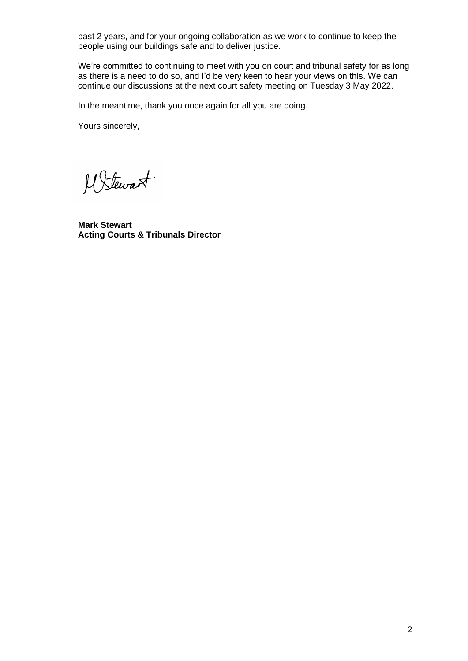past 2 years, and for your ongoing collaboration as we work to continue to keep the people using our buildings safe and to deliver justice.

We're committed to continuing to meet with you on court and tribunal safety for as long as there is a need to do so, and I'd be very keen to hear your views on this. We can continue our discussions at the next court safety meeting on Tuesday 3 May 2022.

In the meantime, thank you once again for all you are doing.

Yours sincerely,

M Stewart

**Mark Stewart Acting Courts & Tribunals Director**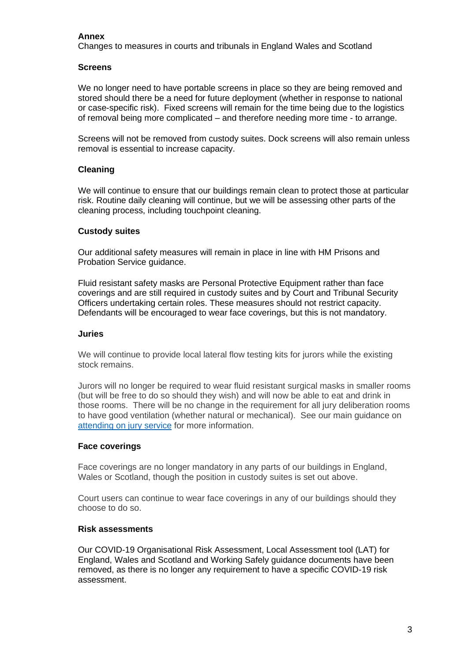# **Annex**

Changes to measures in courts and tribunals in England Wales and Scotland

## **Screens**

We no longer need to have portable screens in place so they are being removed and stored should there be a need for future deployment (whether in response to national or case-specific risk). Fixed screens will remain for the time being due to the logistics of removal being more complicated – and therefore needing more time - to arrange.

Screens will not be removed from custody suites. Dock screens will also remain unless removal is essential to increase capacity.

## **Cleaning**

We will continue to ensure that our buildings remain clean to protect those at particular risk. Routine daily cleaning will continue, but we will be assessing other parts of the cleaning process, including touchpoint cleaning.

### **Custody suites**

Our additional safety measures will remain in place in line with HM Prisons and Probation Service guidance.

Fluid resistant safety masks are Personal Protective Equipment rather than face coverings and are still required in custody suites and by Court and Tribunal Security Officers undertaking certain roles. These measures should not restrict capacity. Defendants will be encouraged to wear face coverings, but this is not mandatory.

### **Juries**

We will continue to provide local lateral flow testing kits for jurors while the existing stock remains.

Jurors will no longer be required to wear fluid resistant surgical masks in smaller rooms (but will be free to do so should they wish) and will now be able to eat and drink in those rooms. There will be no change in the requirement for all jury deliberation rooms to have good ventilation (whether natural or mechanical). See our main guidance on [attending on jury service](https://www.gov.uk/jury-service) for more information.

## **Face coverings**

Face coverings are no longer mandatory in any parts of our buildings in England, Wales or Scotland, though the position in custody suites is set out above.

Court users can continue to wear face coverings in any of our buildings should they choose to do so.

#### **Risk assessments**

Our COVID-19 Organisational Risk Assessment, Local Assessment tool (LAT) for England, Wales and Scotland and Working Safely guidance documents have been removed, as there is no longer any requirement to have a specific COVID-19 risk assessment.